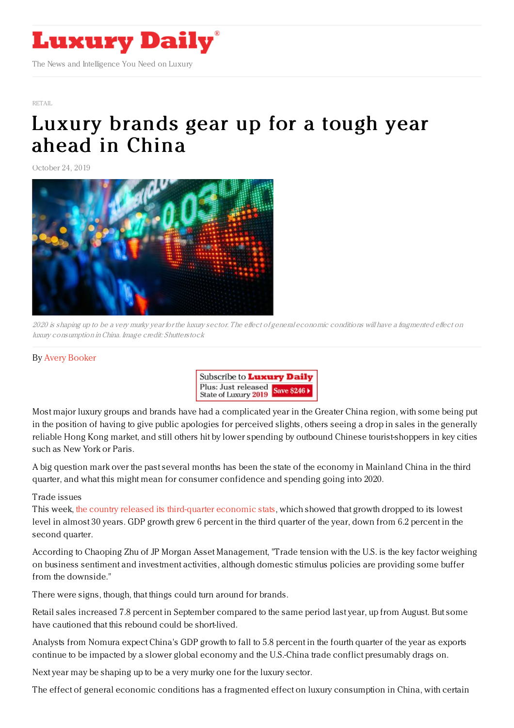

#### [RETAIL](https://www.luxurydaily.com/category/sectors/retail-industry-sectors/)

# Luxury [brands](https://www.luxurydaily.com/luxury-brands-gear-up-for-a-tough-year-ahead-in-china/) gear up for a tough year ahead in China

October 24, 2019



2020 is shaping up to be a very murky year for the luxury sector. The effect of general economic conditions will have a fragmented effect on luxury consumption in China. Image credit: Shutterstock

## By Avery [Booker](http://www.jingdaily.com)



Most major luxury groups and brands have had a complicated year in the Greater China region, with some being put in the position of having to give public apologies for perceived slights, others seeing a drop in sales in the generally reliable Hong Kong market, and still others hit by lower spending by outbound Chinese tourist-shoppers in key cities such as New York or Paris.

A big question mark over the past several months has been the state of the economy in Mainland China in the third quarter, and what this might mean for consumer confidence and spending going into 2020.

#### Trade issues

This week, the country released its [third-quarter](https://www.cnn.com/2019/10/17/economy/china-gdp-economy-trade-war/index.html) economic stats, which showed that growth dropped to its lowest level in almost 30 years. GDP growth grew 6 percent in the third quarter of the year, down from 6.2 percent in the second quarter.

According to Chaoping Zhu of JP Morgan Asset Management, "Trade tension with the U.S. is the key factor weighing on business sentiment and investment activities, although domestic stimulus policies are providing some buffer from the downside."

There were signs, though, that things could turn around for brands.

Retail sales increased 7.8 percent in September compared to the same period last year, up from August. But some have cautioned that this rebound could be short-lived.

Analysts from Nomura expect China's GDP growth to fall to 5.8 percent in the fourth quarter of the year as exports continue to be impacted by a slower global economy and the U.S.-China trade conflict presumably drags on.

Next year may be shaping up to be a very murky one for the luxury sector.

The effect of general economic conditions has a fragmented effect on luxury consumption in China, with certain